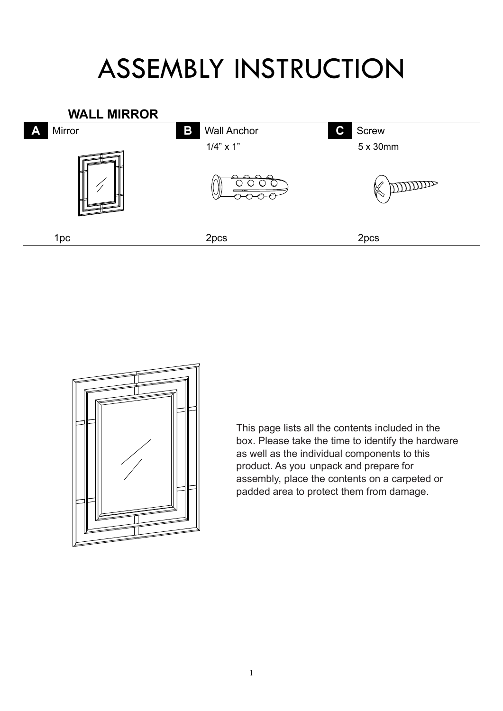## ASSEMBLY INSTRUCTION





This page lists all the contents included in the box. Please take the time to identify the hardware as well as the individual components to this product. As you unpack and prepare for assembly, place the contents on a carpeted or padded area to protect them from damage.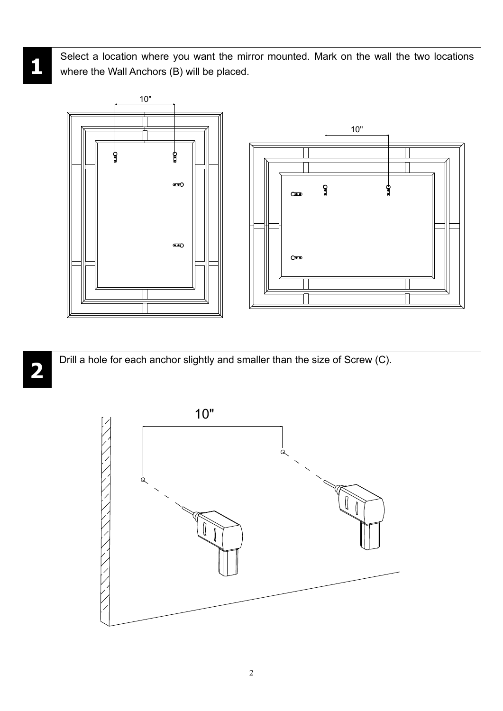Select a location where you want the mirror mounted. Mark on the wall the two locations where the Wall Anchors (B) will be placed.



**2**

Drill a hole for each anchor slightly and smaller than the size of Screw (C).



**1**